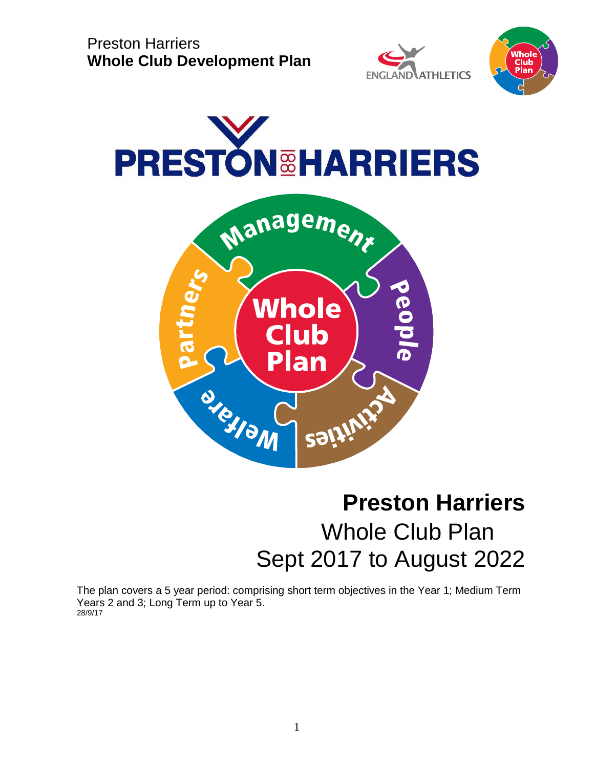







# **Preston Harriers** Whole Club Plan Sept 2017 to August 2022

The plan covers a 5 year period: comprising short term objectives in the Year 1; Medium Term Years 2 and 3; Long Term up to Year 5. 28/9/17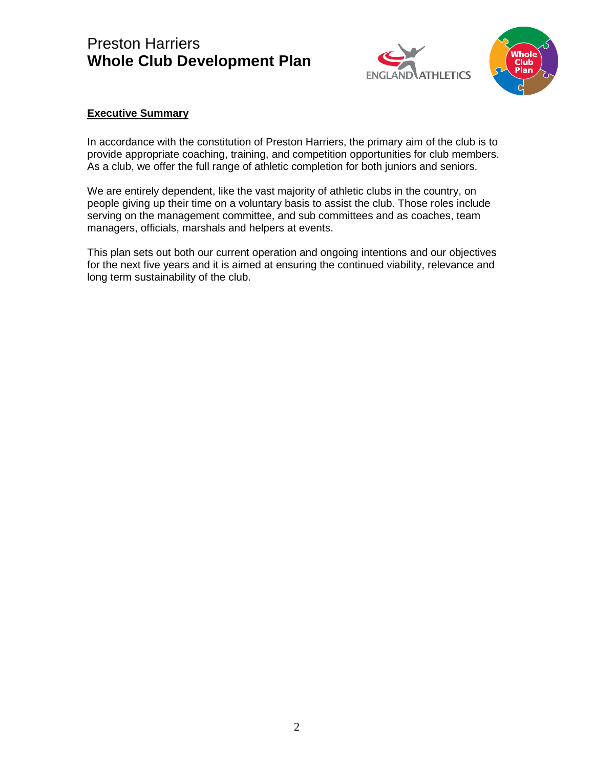



#### **Executive Summary**

In accordance with the constitution of Preston Harriers, the primary aim of the club is to provide appropriate coaching, training, and competition opportunities for club members. As a club, we offer the full range of athletic completion for both juniors and seniors.

We are entirely dependent, like the vast majority of athletic clubs in the country, on people giving up their time on a voluntary basis to assist the club. Those roles include serving on the management committee, and sub committees and as coaches, team managers, officials, marshals and helpers at events.

This plan sets out both our current operation and ongoing intentions and our objectives for the next five years and it is aimed at ensuring the continued viability, relevance and long term sustainability of the club.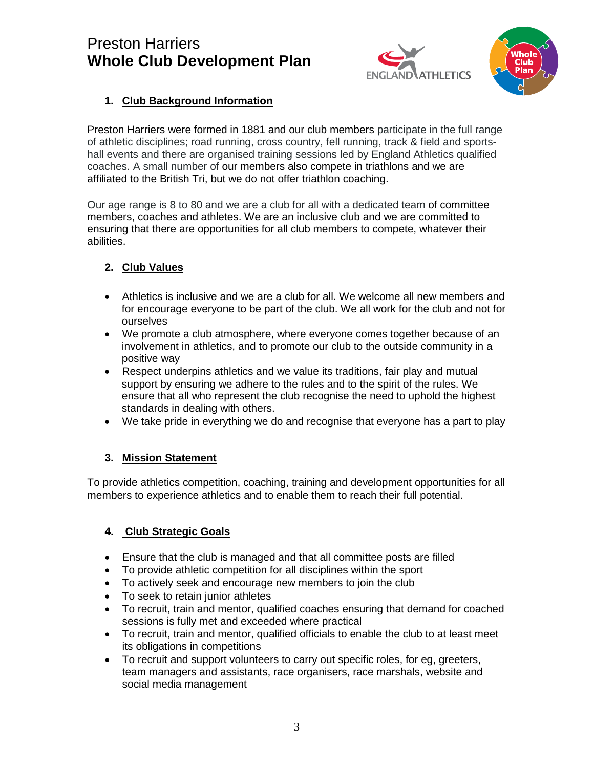



### **1. Club Background Information**

Preston Harriers were formed in 1881 and our club members participate in the full range of athletic disciplines; road running, cross country, fell running, track & field and sportshall events and there are organised training sessions led by England Athletics qualified coaches. A small number of our members also compete in triathlons and we are affiliated to the British Tri, but we do not offer triathlon coaching.

Our age range is 8 to 80 and we are a club for all with a dedicated team of committee members, coaches and athletes. We are an inclusive club and we are committed to ensuring that there are opportunities for all club members to compete, whatever their abilities.

### **2. Club Values**

- Athletics is inclusive and we are a club for all. We welcome all new members and for encourage everyone to be part of the club. We all work for the club and not for ourselves
- We promote a club atmosphere, where everyone comes together because of an involvement in athletics, and to promote our club to the outside community in a positive way
- Respect underpins athletics and we value its traditions, fair play and mutual support by ensuring we adhere to the rules and to the spirit of the rules. We ensure that all who represent the club recognise the need to uphold the highest standards in dealing with others.
- We take pride in everything we do and recognise that everyone has a part to play

### **3. Mission Statement**

To provide athletics competition, coaching, training and development opportunities for all members to experience athletics and to enable them to reach their full potential.

### **4. Club Strategic Goals**

- Ensure that the club is managed and that all committee posts are filled
- To provide athletic competition for all disciplines within the sport
- To actively seek and encourage new members to join the club
- To seek to retain junior athletes
- To recruit, train and mentor, qualified coaches ensuring that demand for coached sessions is fully met and exceeded where practical
- To recruit, train and mentor, qualified officials to enable the club to at least meet its obligations in competitions
- To recruit and support volunteers to carry out specific roles, for eg, greeters, team managers and assistants, race organisers, race marshals, website and social media management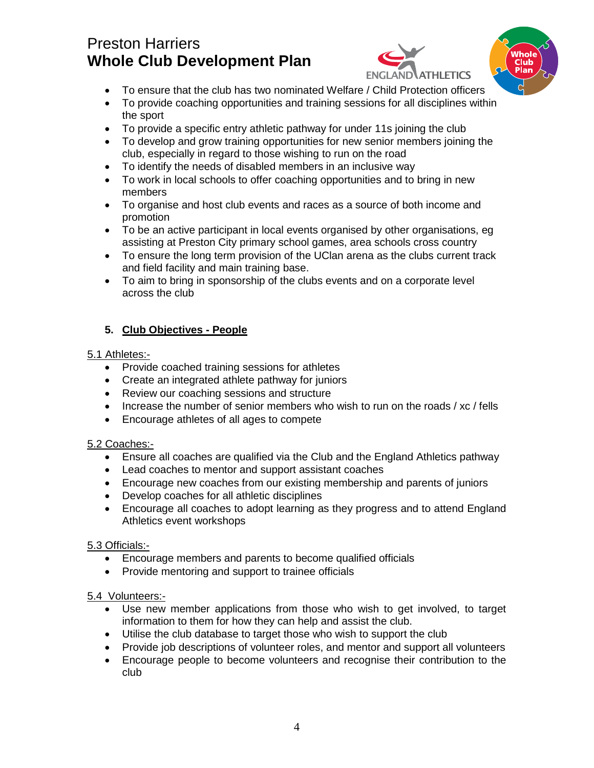



- To ensure that the club has two nominated Welfare / Child Protection officers
- To provide coaching opportunities and training sessions for all disciplines within the sport
- To provide a specific entry athletic pathway for under 11s joining the club
- To develop and grow training opportunities for new senior members joining the club, especially in regard to those wishing to run on the road
- To identify the needs of disabled members in an inclusive way
- To work in local schools to offer coaching opportunities and to bring in new members
- To organise and host club events and races as a source of both income and promotion
- To be an active participant in local events organised by other organisations, eg assisting at Preston City primary school games, area schools cross country
- To ensure the long term provision of the UClan arena as the clubs current track and field facility and main training base.
- To aim to bring in sponsorship of the clubs events and on a corporate level across the club

### **5. Club Objectives - People**

#### 5.1 Athletes:-

- Provide coached training sessions for athletes
- Create an integrated athlete pathway for juniors
- Review our coaching sessions and structure
- Increase the number of senior members who wish to run on the roads / xc / fells
- Encourage athletes of all ages to compete

### 5.2 Coaches:-

- Ensure all coaches are qualified via the Club and the England Athletics pathway
- Lead coaches to mentor and support assistant coaches
- Encourage new coaches from our existing membership and parents of juniors
- Develop coaches for all athletic disciplines
- Encourage all coaches to adopt learning as they progress and to attend England Athletics event workshops

### 5.3 Officials:-

- Encourage members and parents to become qualified officials
- Provide mentoring and support to trainee officials

### 5.4 Volunteers:-

- Use new member applications from those who wish to get involved, to target information to them for how they can help and assist the club.
- Utilise the club database to target those who wish to support the club
- Provide job descriptions of volunteer roles, and mentor and support all volunteers
- Encourage people to become volunteers and recognise their contribution to the club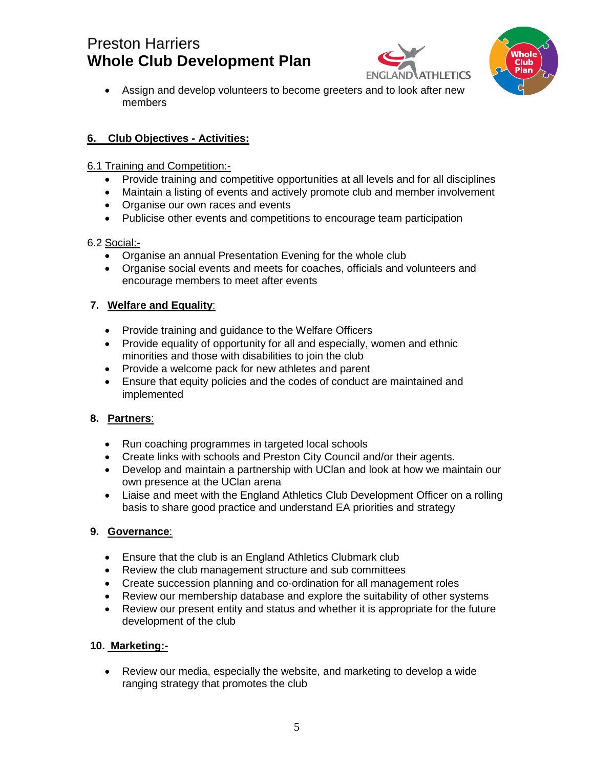



• Assign and develop volunteers to become greeters and to look after new members

### **6. Club Objectives - Activities:**

- 6.1 Training and Competition:-
	- Provide training and competitive opportunities at all levels and for all disciplines
	- Maintain a listing of events and actively promote club and member involvement
	- Organise our own races and events
	- Publicise other events and competitions to encourage team participation

### 6.2 Social:-

- Organise an annual Presentation Evening for the whole club
- Organise social events and meets for coaches, officials and volunteers and encourage members to meet after events

### **7. Welfare and Equality**:

- Provide training and guidance to the Welfare Officers
- Provide equality of opportunity for all and especially, women and ethnic minorities and those with disabilities to join the club
- Provide a welcome pack for new athletes and parent
- Ensure that equity policies and the codes of conduct are maintained and implemented

### **8. Partners**:

- Run coaching programmes in targeted local schools
- Create links with schools and Preston City Council and/or their agents.
- Develop and maintain a partnership with UClan and look at how we maintain our own presence at the UClan arena
- Liaise and meet with the England Athletics Club Development Officer on a rolling basis to share good practice and understand EA priorities and strategy

### **9. Governance**:

- Ensure that the club is an England Athletics Clubmark club
- Review the club management structure and sub committees
- Create succession planning and co-ordination for all management roles
- Review our membership database and explore the suitability of other systems
- Review our present entity and status and whether it is appropriate for the future development of the club

### **10. Marketing:-**

• Review our media, especially the website, and marketing to develop a wide ranging strategy that promotes the club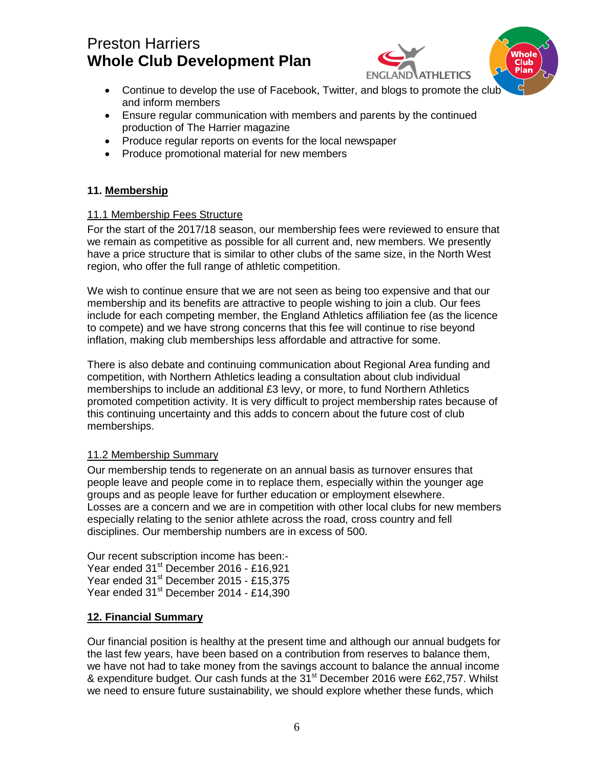

- Continue to develop the use of Facebook, Twitter, and blogs to promote the club and inform members
- Ensure regular communication with members and parents by the continued production of The Harrier magazine
- Produce regular reports on events for the local newspaper
- Produce promotional material for new members

#### **11. Membership**

#### 11.1 Membership Fees Structure

For the start of the 2017/18 season, our membership fees were reviewed to ensure that we remain as competitive as possible for all current and, new members. We presently have a price structure that is similar to other clubs of the same size, in the North West region, who offer the full range of athletic competition.

We wish to continue ensure that we are not seen as being too expensive and that our membership and its benefits are attractive to people wishing to join a club. Our fees include for each competing member, the England Athletics affiliation fee (as the licence to compete) and we have strong concerns that this fee will continue to rise beyond inflation, making club memberships less affordable and attractive for some.

There is also debate and continuing communication about Regional Area funding and competition, with Northern Athletics leading a consultation about club individual memberships to include an additional £3 levy, or more, to fund Northern Athletics promoted competition activity. It is very difficult to project membership rates because of this continuing uncertainty and this adds to concern about the future cost of club memberships.

#### 11.2 Membership Summary

Our membership tends to regenerate on an annual basis as turnover ensures that people leave and people come in to replace them, especially within the younger age groups and as people leave for further education or employment elsewhere. Losses are a concern and we are in competition with other local clubs for new members especially relating to the senior athlete across the road, cross country and fell disciplines. Our membership numbers are in excess of 500.

Our recent subscription income has been:- Year ended 31<sup>st</sup> December 2016 - £16,921 Year ended 31<sup>st</sup> December 2015 - £15,375 Year ended 31<sup>st</sup> December 2014 - £14,390

#### **12. Financial Summary**

Our financial position is healthy at the present time and although our annual budgets for the last few years, have been based on a contribution from reserves to balance them, we have not had to take money from the savings account to balance the annual income & expenditure budget. Our cash funds at the 31<sup>st</sup> December 2016 were £62,757. Whilst we need to ensure future sustainability, we should explore whether these funds, which